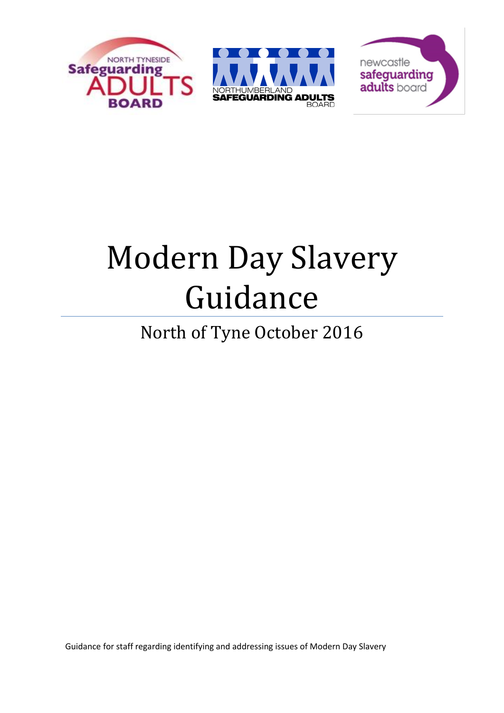





# Modern Day Slavery Guidance

# North of Tyne October 2016

Guidance for staff regarding identifying and addressing issues of Modern Day Slavery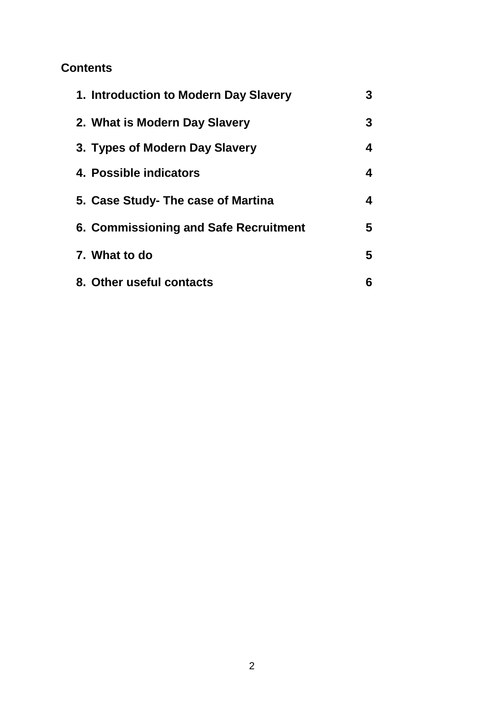# **Contents**

| 1. Introduction to Modern Day Slavery | 3 |
|---------------------------------------|---|
| 2. What is Modern Day Slavery         | 3 |
| 3. Types of Modern Day Slavery        | 4 |
| 4. Possible indicators                | 4 |
| 5. Case Study- The case of Martina    | 4 |
| 6. Commissioning and Safe Recruitment | 5 |
| 7. What to do                         | 5 |
| 8. Other useful contacts              | 6 |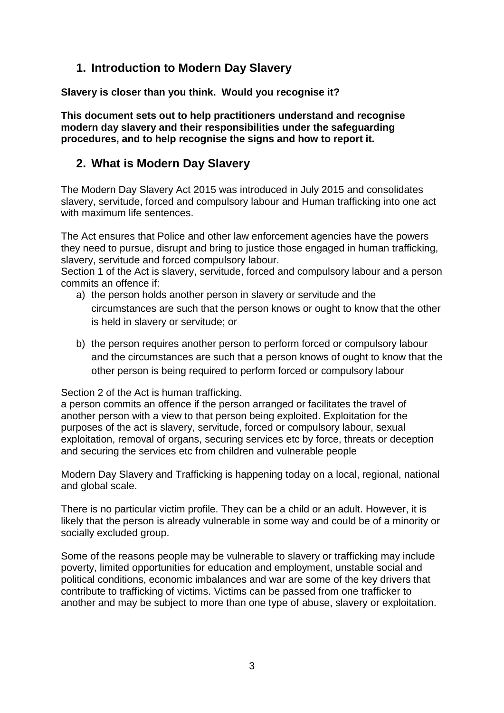# **1. Introduction to Modern Day Slavery**

**Slavery is closer than you think. Would you recognise it?**

**This document sets out to help practitioners understand and recognise modern day slavery and their responsibilities under the safeguarding procedures, and to help recognise the signs and how to report it.** 

## **2. What is Modern Day Slavery**

The Modern Day Slavery Act 2015 was introduced in July 2015 and consolidates slavery, servitude, forced and compulsory labour and Human trafficking into one act with maximum life sentences.

The Act ensures that Police and other law enforcement agencies have the powers they need to pursue, disrupt and bring to justice those engaged in human trafficking, slavery, servitude and forced compulsory labour.

Section 1 of the Act is slavery, servitude, forced and compulsory labour and a person commits an offence if:

- a) the person holds another person in slavery or servitude and the circumstances are such that the person knows or ought to know that the other is held in slavery or servitude; or
- b) the person requires another person to perform forced or compulsory labour and the circumstances are such that a person knows of ought to know that the other person is being required to perform forced or compulsory labour

#### Section 2 of the Act is human trafficking.

a person commits an offence if the person arranged or facilitates the travel of another person with a view to that person being exploited. Exploitation for the purposes of the act is slavery, servitude, forced or compulsory labour, sexual exploitation, removal of organs, securing services etc by force, threats or deception and securing the services etc from children and vulnerable people

Modern Day Slavery and Trafficking is happening today on a local, regional, national and global scale.

There is no particular victim profile. They can be a child or an adult. However, it is likely that the person is already vulnerable in some way and could be of a minority or socially excluded group.

Some of the reasons people may be vulnerable to slavery or trafficking may include poverty, limited opportunities for education and employment, unstable social and political conditions, economic imbalances and war are some of the key drivers that contribute to trafficking of victims. Victims can be passed from one trafficker to another and may be subject to more than one type of abuse, slavery or exploitation.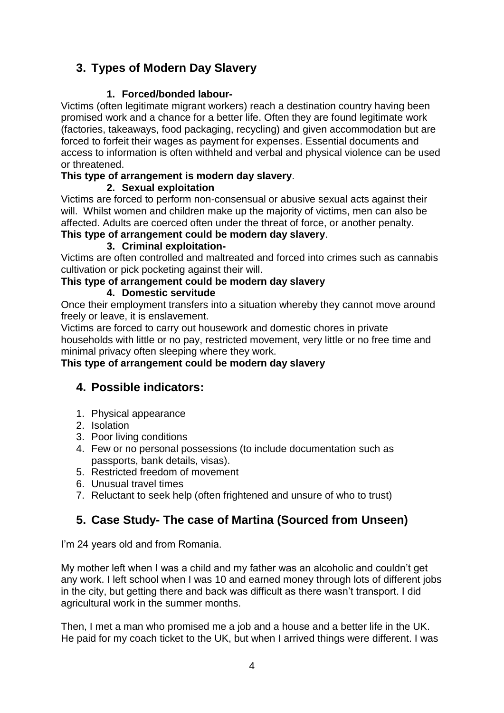# **3. Types of Modern Day Slavery**

#### **1. Forced/bonded labour-**

Victims (often legitimate migrant workers) reach a destination country having been promised work and a chance for a better life. Often they are found legitimate work (factories, takeaways, food packaging, recycling) and given accommodation but are forced to forfeit their wages as payment for expenses. Essential documents and access to information is often withheld and verbal and physical violence can be used or threatened.

#### **This type of arrangement is modern day slavery**.

#### **2. Sexual exploitation**

Victims are forced to perform non-consensual or abusive sexual acts against their will. Whilst women and children make up the majority of victims, men can also be affected. Adults are coerced often under the threat of force, or another penalty.

#### **This type of arrangement could be modern day slavery**.

#### **3. Criminal exploitation-**

Victims are often controlled and maltreated and forced into crimes such as cannabis cultivation or pick pocketing against their will.

#### **This type of arrangement could be modern day slavery**

#### **4. Domestic servitude**

Once their employment transfers into a situation whereby they cannot move around freely or leave, it is enslavement.

Victims are forced to carry out housework and domestic chores in private households with little or no pay, restricted movement, very little or no free time and minimal privacy often sleeping where they work.

#### **This type of arrangement could be modern day slavery**

# **4. Possible indicators:**

- 1. Physical appearance
- 2. Isolation
- 3. Poor living conditions
- 4. Few or no personal possessions (to include documentation such as passports, bank details, visas).
- 5. Restricted freedom of movement
- 6. Unusual travel times
- 7. Reluctant to seek help (often frightened and unsure of who to trust)

# **5. Case Study- The case of Martina (Sourced from Unseen)**

I'm 24 years old and from Romania.

My mother left when I was a child and my father was an alcoholic and couldn't get any work. I left school when I was 10 and earned money through lots of different jobs in the city, but getting there and back was difficult as there wasn't transport. I did agricultural work in the summer months.

Then, I met a man who promised me a job and a house and a better life in the UK. He paid for my coach ticket to the UK, but when I arrived things were different. I was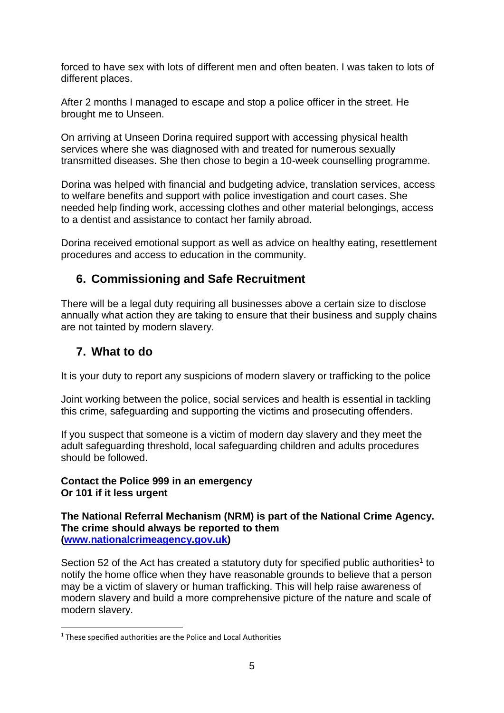forced to have sex with lots of different men and often beaten. I was taken to lots of different places.

After 2 months I managed to escape and stop a police officer in the street. He brought me to Unseen.

On arriving at Unseen Dorina required support with accessing physical health services where she was diagnosed with and treated for numerous sexually transmitted diseases. She then chose to begin a 10-week counselling programme.

Dorina was helped with financial and budgeting advice, translation services, access to welfare benefits and support with police investigation and court cases. She needed help finding work, accessing clothes and other material belongings, access to a dentist and assistance to contact her family abroad.

Dorina received emotional support as well as advice on healthy eating, resettlement procedures and access to education in the community.

## **6. Commissioning and Safe Recruitment**

There will be a legal duty requiring all businesses above a certain size to disclose annually what action they are taking to ensure that their business and supply chains are not tainted by modern slavery.

# **7. What to do**

It is your duty to report any suspicions of modern slavery or trafficking to the police

Joint working between the police, social services and health is essential in tackling this crime, safeguarding and supporting the victims and prosecuting offenders.

If you suspect that someone is a victim of modern day slavery and they meet the adult safeguarding threshold, local safeguarding children and adults procedures should be followed.

#### **Contact the Police 999 in an emergency Or 101 if it less urgent**

**The National Referral Mechanism (NRM) is part of the National Crime Agency. The crime should always be reported to them [\(www.nationalcrimeagency.gov.uk\)](http://www.nationalcrimeagency.gov.uk/)** 

Section 52 of the Act has created a statutory duty for specified public authorities<sup>1</sup> to notify the home office when they have reasonable grounds to believe that a person may be a victim of slavery or human trafficking. This will help raise awareness of modern slavery and build a more comprehensive picture of the nature and scale of modern slavery.

<sup>1</sup>  $1$  These specified authorities are the Police and Local Authorities